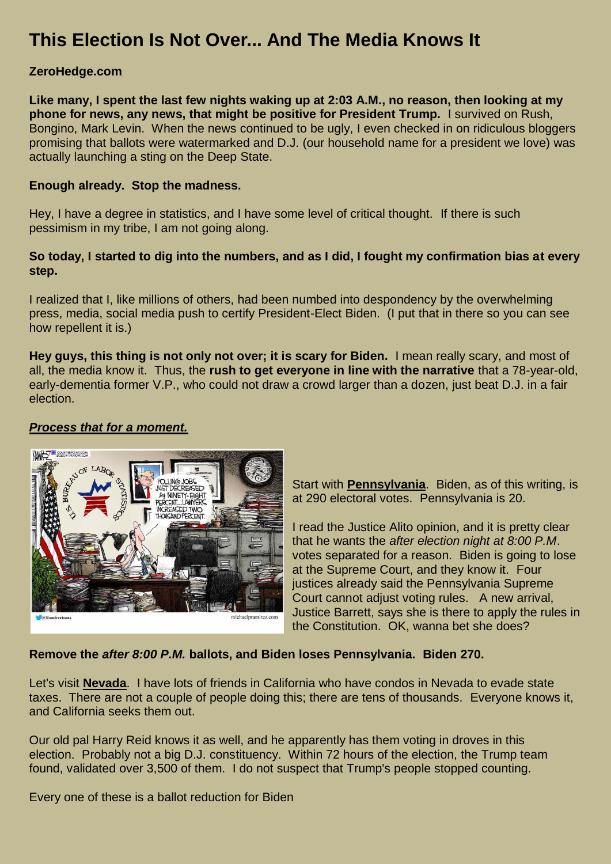# **This Election Is Not Over... And The Media Knows It**

## **ZeroHedge.com**

**Like many, I spent the last few nights waking up at 2:03 A.M., no reason, then looking at my phone for news, any news, that might be positive for President Trump.** I survived on Rush, Bongino, Mark Levin. When the news continued to be ugly, I even checked in on ridiculous bloggers promising that ballots were watermarked and D.J. (our household name for a president we love) was actually launching a sting on the Deep State.

### **Enough already. Stop the madness.**

Hey, I have a degree in statistics, and I have some level of critical thought. If there is such pessimism in my tribe, I am not going along.

## **So today, I started to dig into the numbers, and as I did, I fought my confirmation bias at every step.**

I realized that I, like millions of others, had been numbed into despondency by the overwhelming press, media, social media push to certify President-Elect Biden. (I put that in there so you can see how repellent it is.)

**Hey guys, this thing is not only not over; it is scary for Biden.** I mean really scary, and most of all, the media know it. Thus, the **rush to get everyone in line with the narrative** that a 78-year-old, early-dementia former V.P., who could not draw a crowd larger than a dozen, just beat D.J. in a fair election.

# *Process that for a moment.*



Start with **Pennsylvania**. Biden, as of this writing, is at 290 electoral votes. Pennsylvania is 20.

I read the Justice Alito opinion, and it is pretty clear that he wants the *after election night at 8:00 P.M*. votes separated for a reason. Biden is going to lose at the Supreme Court, and they know it. Four justices already said the Pennsylvania Supreme Court cannot adjust voting rules. A new arrival, Justice Barrett, says she is there to apply the rules in the Constitution. OK, wanna bet she does?

## **Remove the** *after 8:00 P.M.* **ballots, and Biden loses Pennsylvania. Biden 270.**

Let's visit **Nevada**. I have lots of friends in California who have condos in Nevada to evade state taxes. There are not a couple of people doing this; there are tens of thousands. Everyone knows it, and California seeks them out.

Our old pal Harry Reid knows it as well, and he apparently has them voting in droves in this election. Probably not a big D.J. constituency. Within 72 hours of the election, the Trump team found, validated over 3,500 of them. I do not suspect that Trump's people stopped counting.

Every one of these is a ballot reduction for Biden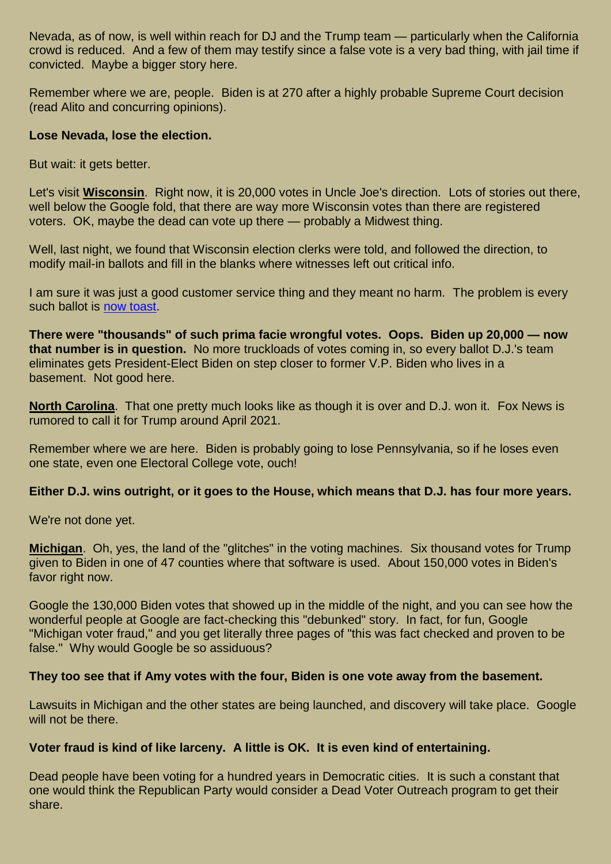Nevada, as of now, is well within reach for DJ and the Trump team — particularly when the California crowd is reduced. And a few of them may testify since a false vote is a very bad thing, with jail time if convicted. Maybe a bigger story here.

Remember where we are, people. Biden is at 270 after a highly probable Supreme Court decision (read Alito and concurring opinions).

## **Lose Nevada, lose the election.**

But wait: it gets better.

Let's visit **Wisconsin**. Right now, it is 20,000 votes in Uncle Joe's direction. Lots of stories out there, well below the Google fold, that there are way more Wisconsin votes than there are registered voters. OK, maybe the dead can vote up there — probably a Midwest thing.

Well, last night, we found that Wisconsin election clerks were told, and followed the direction, to modify mail-in ballots and fill in the blanks where witnesses left out critical info.

I am sure it was just a good customer service thing and they meant no harm. The problem is every such ballot is [now toast.](https://www.breitbart.com/2020-election/2020/11/07/report-wisconsin-election-clerks-may-have-illegally-altered-thousands-of-ballots/)

**There were "thousands" of such prima facie wrongful votes. Oops. Biden up 20,000 — now that number is in question.** No more truckloads of votes coming in, so every ballot D.J.'s team eliminates gets President-Elect Biden on step closer to former V.P. Biden who lives in a basement. Not good here.

**North Carolina**. That one pretty much looks like as though it is over and D.J. won it. Fox News is rumored to call it for Trump around April 2021.

Remember where we are here. Biden is probably going to lose Pennsylvania, so if he loses even one state, even one Electoral College vote, ouch!

## **Either D.J. wins outright, or it goes to the House, which means that D.J. has four more years.**

We're not done yet.

**Michigan**. Oh, yes, the land of the "glitches" in the voting machines. Six thousand votes for Trump given to Biden in one of 47 counties where that software is used. About 150,000 votes in Biden's favor right now.

Google the 130,000 Biden votes that showed up in the middle of the night, and you can see how the wonderful people at Google are fact-checking this "debunked" story. In fact, for fun, Google "Michigan voter fraud," and you get literally three pages of "this was fact checked and proven to be false." Why would Google be so assiduous?

## **They too see that if Amy votes with the four, Biden is one vote away from the basement.**

Lawsuits in Michigan and the other states are being launched, and discovery will take place. Google will not be there.

### **Voter fraud is kind of like larceny. A little is OK. It is even kind of entertaining.**

Dead people have been voting for a hundred years in Democratic cities. It is such a constant that one would think the Republican Party would consider a Dead Voter Outreach program to get their share.